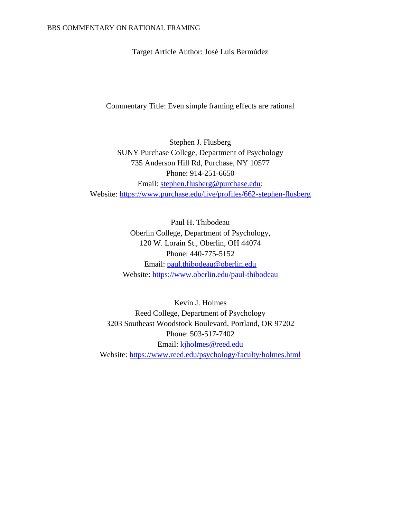Target Article Author: José Luis Bermúdez

Commentary Title: Even simple framing effects are rational

Stephen J. Flusberg SUNY Purchase College, Department of Psychology 735 Anderson Hill Rd, Purchase, NY 10577 Phone: 914-251-6650 Email: [stephen.flusberg@purchase.edu;](mailto:stephen.flusberg@purchase.edu) Website:<https://www.purchase.edu/live/profiles/662-stephen-flusberg>

> Paul H. Thibodeau Oberlin College, Department of Psychology, 120 W. Lorain St., Oberlin, OH 44074 Phone: 440-775-5152 Email: [paul.thibodeau@oberlin.edu](mailto:paul.thibodeau@oberlin.edu) Website:<https://www.oberlin.edu/paul-thibodeau>

Kevin J. Holmes Reed College, Department of Psychology 3203 Southeast Woodstock Boulevard, Portland, OR 97202 Phone: 503-517-7402 Email: [kjholmes@reed.edu](mailto:kjholmes@reed.edu) Website:<https://www.reed.edu/psychology/faculty/holmes.html>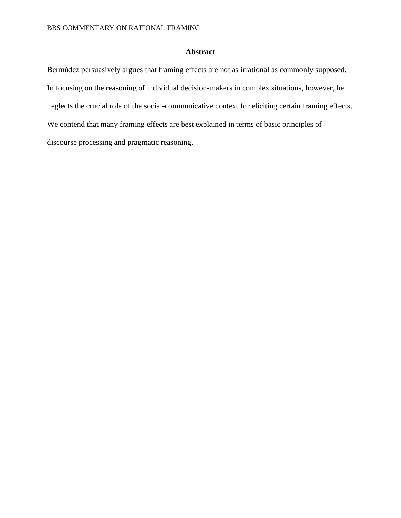# **Abstract**

Bermúdez persuasively argues that framing effects are not as irrational as commonly supposed. In focusing on the reasoning of individual decision-makers in complex situations, however, he neglects the crucial role of the social-communicative context for eliciting certain framing effects. We contend that many framing effects are best explained in terms of basic principles of discourse processing and pragmatic reasoning.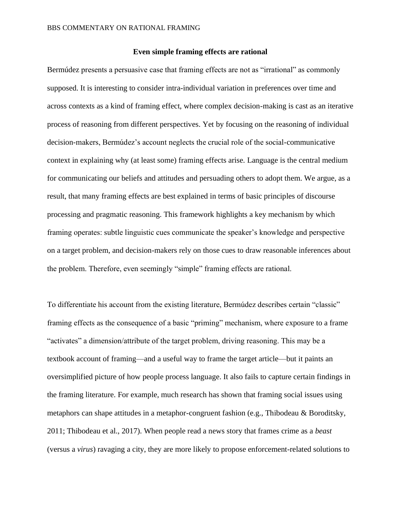## **Even simple framing effects are rational**

Bermúdez presents a persuasive case that framing effects are not as "irrational" as commonly supposed. It is interesting to consider intra-individual variation in preferences over time and across contexts as a kind of framing effect, where complex decision-making is cast as an iterative process of reasoning from different perspectives. Yet by focusing on the reasoning of individual decision-makers, Bermúdez's account neglects the crucial role of the social-communicative context in explaining why (at least some) framing effects arise. Language is the central medium for communicating our beliefs and attitudes and persuading others to adopt them. We argue, as a result, that many framing effects are best explained in terms of basic principles of discourse processing and pragmatic reasoning. This framework highlights a key mechanism by which framing operates: subtle linguistic cues communicate the speaker's knowledge and perspective on a target problem, and decision-makers rely on those cues to draw reasonable inferences about the problem. Therefore, even seemingly "simple" framing effects are rational.

To differentiate his account from the existing literature, Bermúdez describes certain "classic" framing effects as the consequence of a basic "priming" mechanism, where exposure to a frame "activates" a dimension/attribute of the target problem, driving reasoning. This may be a textbook account of framing—and a useful way to frame the target article—but it paints an oversimplified picture of how people process language. It also fails to capture certain findings in the framing literature. For example, much research has shown that framing social issues using metaphors can shape attitudes in a metaphor-congruent fashion (e.g., Thibodeau & Boroditsky, 2011; Thibodeau et al., 2017). When people read a news story that frames crime as a *beast* (versus a *virus*) ravaging a city, they are more likely to propose enforcement-related solutions to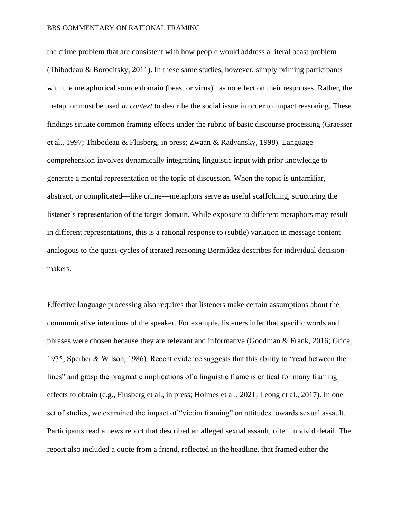#### BBS COMMENTARY ON RATIONAL FRAMING

the crime problem that are consistent with how people would address a literal beast problem (Thibodeau & Boroditsky, 2011). In these same studies, however, simply priming participants with the metaphorical source domain (beast or virus) has no effect on their responses. Rather, the metaphor must be used *in context* to describe the social issue in order to impact reasoning. These findings situate common framing effects under the rubric of basic discourse processing (Graesser et al., 1997; Thibodeau & Flusberg, in press; Zwaan & Radvansky, 1998). Language comprehension involves dynamically integrating linguistic input with prior knowledge to generate a mental representation of the topic of discussion. When the topic is unfamiliar, abstract, or complicated—like crime—metaphors serve as useful scaffolding, structuring the listener's representation of the target domain. While exposure to different metaphors may result in different representations, this is a rational response to (subtle) variation in message content analogous to the quasi-cycles of iterated reasoning Bermúdez describes for individual decisionmakers.

Effective language processing also requires that listeners make certain assumptions about the communicative intentions of the speaker. For example, listeners infer that specific words and phrases were chosen because they are relevant and informative (Goodman & Frank, 2016; Grice, 1975; Sperber & Wilson, 1986). Recent evidence suggests that this ability to "read between the lines" and grasp the pragmatic implications of a linguistic frame is critical for many framing effects to obtain (e.g., Flusberg et al., in press; Holmes et al., 2021; Leong et al., 2017). In one set of studies, we examined the impact of "victim framing" on attitudes towards sexual assault. Participants read a news report that described an alleged sexual assault, often in vivid detail. The report also included a quote from a friend, reflected in the headline, that framed either the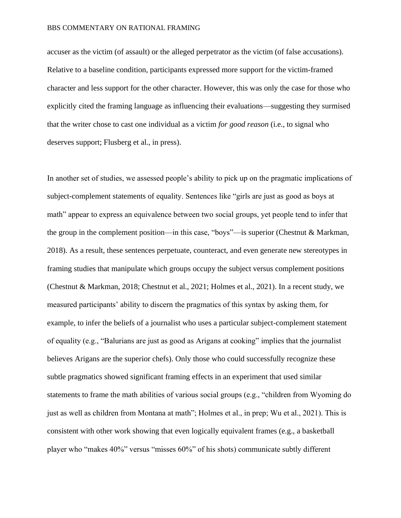#### BBS COMMENTARY ON RATIONAL FRAMING

accuser as the victim (of assault) or the alleged perpetrator as the victim (of false accusations). Relative to a baseline condition, participants expressed more support for the victim-framed character and less support for the other character. However, this was only the case for those who explicitly cited the framing language as influencing their evaluations—suggesting they surmised that the writer chose to cast one individual as a victim *for good reason* (i.e., to signal who deserves support; Flusberg et al., in press).

In another set of studies, we assessed people's ability to pick up on the pragmatic implications of subject-complement statements of equality. Sentences like "girls are just as good as boys at math" appear to express an equivalence between two social groups, yet people tend to infer that the group in the complement position—in this case, "boys"—is superior (Chestnut & Markman, 2018). As a result, these sentences perpetuate, counteract, and even generate new stereotypes in framing studies that manipulate which groups occupy the subject versus complement positions (Chestnut & Markman, 2018; Chestnut et al., 2021; Holmes et al., 2021). In a recent study, we measured participants' ability to discern the pragmatics of this syntax by asking them, for example, to infer the beliefs of a journalist who uses a particular subject-complement statement of equality (e.g., "Balurians are just as good as Arigans at cooking" implies that the journalist believes Arigans are the superior chefs). Only those who could successfully recognize these subtle pragmatics showed significant framing effects in an experiment that used similar statements to frame the math abilities of various social groups (e.g., "children from Wyoming do just as well as children from Montana at math"; Holmes et al., in prep; Wu et al., 2021). This is consistent with other work showing that even logically equivalent frames (e.g., a basketball player who "makes 40%" versus "misses 60%" of his shots) communicate subtly different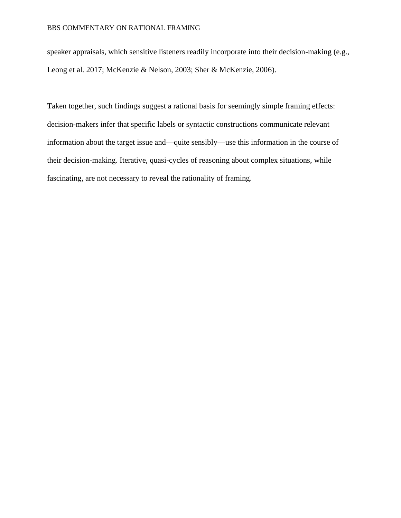speaker appraisals, which sensitive listeners readily incorporate into their decision-making (e.g., Leong et al. 2017; McKenzie & Nelson, 2003; Sher & McKenzie, 2006).

Taken together, such findings suggest a rational basis for seemingly simple framing effects: decision-makers infer that specific labels or syntactic constructions communicate relevant information about the target issue and—quite sensibly—use this information in the course of their decision-making. Iterative, quasi-cycles of reasoning about complex situations, while fascinating, are not necessary to reveal the rationality of framing.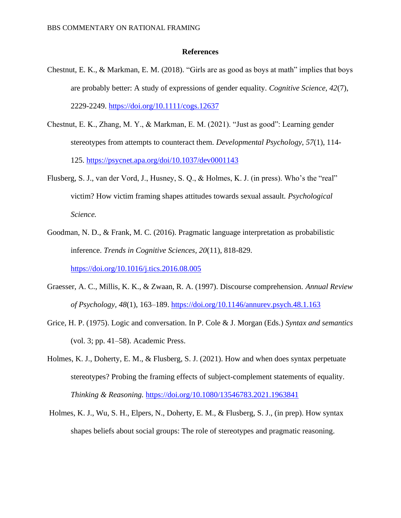### **References**

- Chestnut, E. K., & Markman, E. M. (2018). "Girls are as good as boys at math" implies that boys are probably better: A study of expressions of gender equality. *Cognitive Science, 42*(7), 2229-2249. <https://doi.org/10.1111/cogs.12637>
- Chestnut, E. K., Zhang, M. Y., & Markman, E. M. (2021). "Just as good": Learning gender stereotypes from attempts to counteract them. *Developmental Psychology*, *57*(1), 114- 125. <https://psycnet.apa.org/doi/10.1037/dev0001143>
- Flusberg, S. J., van der Vord, J., Husney, S. Q., & Holmes, K. J. (in press). Who's the "real" victim? How victim framing shapes attitudes towards sexual assault. *Psychological Science.*
- Goodman, N. D., & Frank, M. C. (2016). Pragmatic language interpretation as probabilistic inference. *Trends in Cognitive Sciences, 20*(11), 818-829.

<https://doi.org/10.1016/j.tics.2016.08.005>

- Graesser, A. C., Millis, K. K., & Zwaan, R. A. (1997). Discourse comprehension. *Annual Review of Psychology, 48*(1), 163–189.<https://doi.org/10.1146/annurev.psych.48.1.163>
- Grice, H. P. (1975). Logic and conversation. In P. Cole & J. Morgan (Eds.) *Syntax and semantics*  (vol. 3; pp. 41–58). Academic Press.
- Holmes, K. J., Doherty, E. M., & Flusberg, S. J. (2021). How and when does syntax perpetuate stereotypes? Probing the framing effects of subject-complement statements of equality. *Thinking & Reasoning.* <https://doi.org/10.1080/13546783.2021.1963841>
- Holmes, K. J., Wu, S. H., Elpers, N., Doherty, E. M., & Flusberg, S. J., (in prep). How syntax shapes beliefs about social groups: The role of stereotypes and pragmatic reasoning.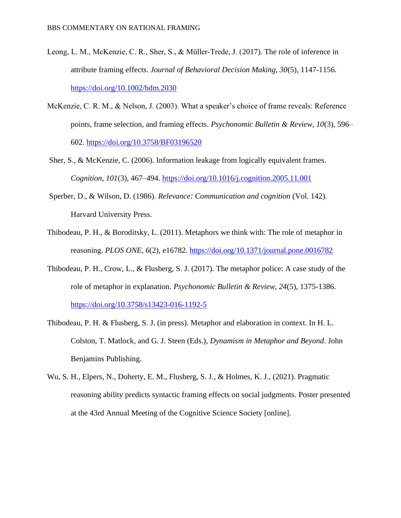- Leong, L. M., McKenzie, C. R., Sher, S., & Müller-Trede, J. (2017). The role of inference in attribute framing effects. *Journal of Behavioral Decision Making, 30*(5), 1147-1156. <https://doi.org/10.1002/bdm.2030>
- McKenzie, C. R. M., & Nelson, J. (2003). What a speaker's choice of frame reveals: Reference points, frame selection, and framing effects. *Psychonomic Bulletin & Review, 10*(3), 596– 602.<https://doi.org/10.3758/BF03196520>
- Sher, S., & McKenzie, C. (2006). Information leakage from logically equivalent frames. *Cognition, 101*(3), 467–494.<https://doi.org/10.1016/j.cognition.2005.11.001>
- Sperber, D., & Wilson, D. (1986). *Relevance: Communication and cognition* (Vol. 142). Harvard University Press.
- Thibodeau, P. H., & Boroditsky, L. (2011). Metaphors we think with: The role of metaphor in reasoning. *PLOS ONE, 6*(2), e16782. <https://doi.org/10.1371/journal.pone.0016782>
- Thibodeau, P. H., Crow, L., & Flusberg, S. J. (2017). The metaphor police: A case study of the role of metaphor in explanation. *Psychonomic Bulletin & Review, 24*(5), 1375-1386. <https://doi.org/10.3758/s13423-016-1192-5>
- Thibodeau, P. H. & Flusberg, S. J. (in press). Metaphor and elaboration in context. In H. L. Colston, T. Matlock, and G. J. Steen (Eds.), *Dynamism in Metaphor and Beyond*. John Benjamins Publishing.
- Wu, S. H., Elpers, N., Doherty, E. M., Flusberg, S. J., & Holmes, K. J., (2021). Pragmatic reasoning ability predicts syntactic framing effects on social judgments. Poster presented at the 43rd Annual Meeting of the Cognitive Science Society [online].